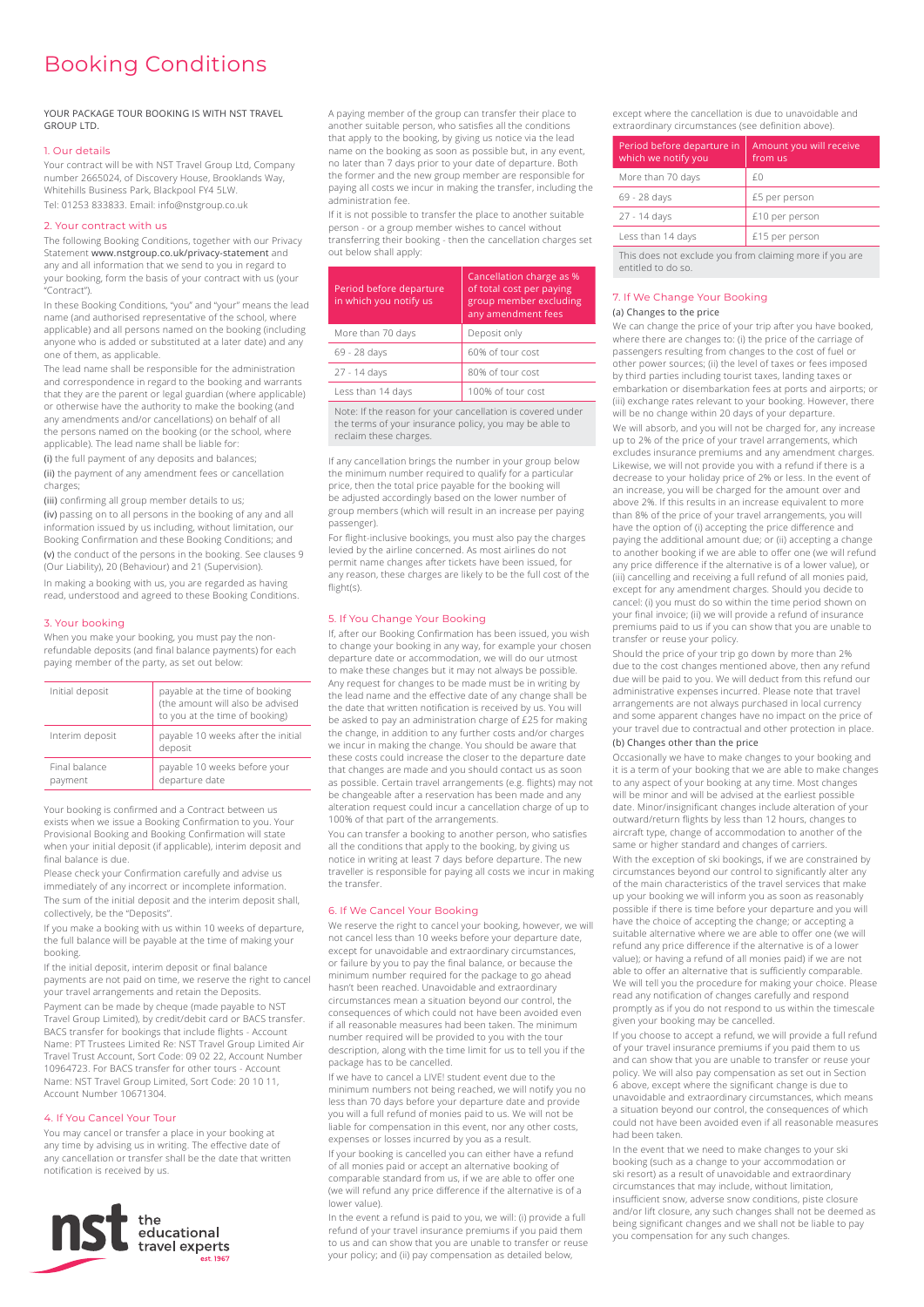# Booking Conditions

#### YOUR PACKAGE TOUR BOOKING IS WITH NST TRAVEL GROUP LTD.

## 1. Our details

Your contract will be with NST Travel Group Ltd, Company number 2665024, of Discovery House, Brooklands Way, Whitehills Business Park, Blackpool FY4 5LW. Tel: 01253 833833. Email: info@nstgroup.co.uk

## 2. Your contract with us

The following Booking Conditions, together with our Privacy Statement www.nstgroup.co.uk/privacy-statement and any and all information that we send to you in regard to your booking, form the basis of your contract with us (your "Contract").

In these Booking Conditions, "you" and "your" means the lead name (and authorised representative of the school, where applicable) and all persons named on the booking (including anyone who is added or substituted at a later date) and any one of them, as applicable.

The lead name shall be responsible for the administration and correspondence in regard to the booking and warrants that they are the parent or legal guardian (where applicable) or otherwise have the authority to make the booking (and any amendments and/or cancellations) on behalf of all the persons named on the booking (or the school, where applicable). The lead name shall be liable for:

(i) the full payment of any deposits and balances; (ii) the payment of any amendment fees or cancellation charges;

(iii) confirming all group member details to us;

(iv) passing on to all persons in the booking of any and all information issued by us including, without limitation, our Booking Confirmation and these Booking Conditions; and (v) the conduct of the persons in the booking. See clauses 9 (Our Liability), 20 (Behaviour) and 21 (Supervision). In making a booking with us, you are regarded as having read, understood and agreed to these Booking Conditions.

3. Your booking

When you make your booking, you must pay the nonrefundable deposits (and final balance payments) for each paying member of the party, as set out below:

| Initial deposit          | payable at the time of booking<br>(the amount will also be advised<br>to you at the time of booking) |
|--------------------------|------------------------------------------------------------------------------------------------------|
| Interim deposit          | payable 10 weeks after the initial<br>deposit                                                        |
| Final balance<br>payment | payable 10 weeks before your<br>departure date                                                       |

Your booking is confirmed and a Contract between us exists when we issue a Booking Confirmation to you. Your Provisional Booking and Booking Confirmation will state when your initial deposit (if applicable), interim deposit and final balance is due.

Please check your Confirmation carefully and advise us immediately of any incorrect or incomplete information. The sum of the initial deposit and the interim deposit shall, collectively, be the "Deposits".

If you make a booking with us within 10 weeks of departure, the full balance will be payable at the time of making your booking.

If the initial deposit, interim deposit or final balance payments are not paid on time, we reserve the right to cancel your travel arrangements and retain the Deposits. Payment can be made by cheque (made payable to NST Travel Group Limited), by credit/debit card or BACS transfer. BACS transfer for bookings that include flights - Account Name: PT Trustees Limited Re: NST Travel Group Limited Air Travel Trust Account, Sort Code: 09 02 22, Account Number 10964723. For BACS transfer for other tours - Account Name: NST Travel Group Limited, Sort Code: 20 10 11, Account Number 10671304.

#### 4. If You Cancel Your Tour

You may cancel or transfer a place in your booking at any time by advising us in writing. The effective date of any cancellation or transfer shall be the date that written notification is received by us.



A paying member of the group can transfer their place to another suitable person, who satisfies all the conditions that apply to the booking, by giving us notice via the lead name on the booking as soon as possible but, in any event, no later than 7 days prior to your date of departure. Both the former and the new group member are responsible for paying all costs we incur in making the transfer, including the administration fee.

If it is not possible to transfer the place to another suitable person - or a group member wishes to cancel without transferring their booking - then the cancellation charges set out below shall apply:

| Period before departure<br>in which you notify us | Cancellation charge as %<br>of total cost per paying<br>group member excluding<br>any amendment fees |
|---------------------------------------------------|------------------------------------------------------------------------------------------------------|
| More than 70 days                                 | Deposit only                                                                                         |
| 69 - 28 days                                      | 60% of tour cost                                                                                     |
| 27 - 14 days                                      | 80% of tour cost                                                                                     |
| Less than 14 days                                 | 100% of tour cost                                                                                    |

Note: If the reason for your cancellation is covered under the terms of your insurance policy, you may be able to reclaim these charges.

If any cancellation brings the number in your group below the minimum number required to qualify for a particular price, then the total price payable for the booking will be adjusted accordingly based on the lower number of group members (which will result in an increase per paying passenger).

For flight-inclusive bookings, you must also pay the charges levied by the airline concerned. As most airlines do not permit name changes after tickets have been issued, for any reason, these charges are likely to be the full cost of the flight(s).

## 5. If You Change Your Booking

If, after our Booking Confirmation has been issued, you wish to change your booking in any way, for example your chosen departure date or accommodation, we will do our utmost to make these changes but it may not always be possible. Any request for changes to be made must be in writing by the lead name and the effective date of any change shall be the date that written notification is received by us. You will be asked to pay an administration charge of £25 for making the change, in addition to any further costs and/or charges we incur in making the change. You should be aware that these costs could increase the closer to the departure date that changes are made and you should contact us as soon as possible. Certain travel arrangements (e.g. flights) may not be changeable after a reservation has been made and any alteration request could incur a cancellation charge of up to 100% of that part of the arrangements.

You can transfer a booking to another person, who satisfies all the conditions that apply to the booking, by giving us notice in writing at least 7 days before departure. The new traveller is responsible for paying all costs we incur in making the transfer.

## 6. If We Cancel Your Booking

We reserve the right to cancel your booking, however, we will not cancel less than 10 weeks before your departure date, except for unavoidable and extraordinary circumstances, or failure by you to pay the final balance, or because the minimum number required for the package to go ahead hasn't been reached. Unavoidable and extraordinary circumstances mean a situation beyond our control, the consequences of which could not have been avoided even if all reasonable measures had been taken. The minimum number required will be provided to you with the tour description, along with the time limit for us to tell you if the package has to be cancelled.

If we have to cancel a LIVE! student event due to the minimum numbers not being reached, we will notify you no less than 70 days before your departure date and provide you will a full refund of monies paid to us. We will not be liable for compensation in this event, nor any other costs, expenses or losses incurred by you as a result. If your booking is cancelled you can either have a refund of all monies paid or accept an alternative booking of comparable standard from us, if we are able to offer one (we will refund any price difference if the alternative is of a lower value).

In the event a refund is paid to you, we will: (i) provide a full refund of your travel insurance premiums if you paid them to us and can show that you are unable to transfer or reuse your policy; and (ii) pay compensation as detailed below,

except where the cancellation is due to unavoidable and extraordinary circumstances (see definition above).

| Period before departure in<br>which we notify you | Amount you will receive<br>from us |
|---------------------------------------------------|------------------------------------|
| More than 70 days                                 | £Ω                                 |
| 69 - 28 days                                      | £5 per person                      |
| 27 - 14 days                                      | £10 per person                     |
| Less than 14 days                                 | £15 per person                     |

This does not exclude you from claiming more if you are entitled to do so.

## 7. If We Change Your Booking

## (a) Changes to the price

We can change the price of your trip after you have booked, where there are changes to: (i) the price of the carriage of passengers resulting from changes to the cost of fuel or other power sources; (ii) the level of taxes or fees imposed by third parties including tourist taxes, landing taxes or embarkation or disembarkation fees at ports and airports; or (iii) exchange rates relevant to your booking. However, there will be no change within 20 days of your departure.

We will absorb, and you will not be charged for, any increase up to 2% of the price of your travel arrangements, which excludes insurance premiums and any amendment charges. Likewise, we will not provide you with a refund if there is a decrease to your holiday price of 2% or less. In the event of an increase, you will be charged for the amount over and above 2%. If this results in an increase equivalent to more than 8% of the price of your travel arrangements, you will have the option of (i) accepting the price difference and paying the additional amount due; or (ii) accepting a change to another booking if we are able to offer one (we will refund any price difference if the alternative is of a lower value), or (iii) cancelling and receiving a full refund of all monies paid, except for any amendment charges. Should you decide to cancel: (i) you must do so within the time period shown on your final invoice; (ii) we will provide a refund of insurance premiums paid to us if you can show that you are unable to transfer or reuse your policy.

Should the price of your trip go down by more than 2% due to the cost changes mentioned above, then any refund due will be paid to you. We will deduct from this refund our administrative expenses incurred. Please note that travel arrangements are not always purchased in local currency and some apparent changes have no impact on the price of your travel due to contractual and other protection in place.

## (b) Changes other than the price

Occasionally we have to make changes to your booking and it is a term of your booking that we are able to make changes to any aspect of your booking at any time. Most changes will be minor and will be advised at the earliest possible date. Minor/insignificant changes include alteration of your outward/return flights by less than 12 hours, changes to aircraft type, change of accommodation to another of the same or higher standard and changes of carriers. With the exception of ski bookings, if we are constrained by circumstances beyond our control to significantly alter any of the main characteristics of the travel services that make up your booking we will inform you as soon as reasonably possible if there is time before your departure and you will have the choice of accepting the change; or accepting a suitable alternative where we are able to offer one (we will refund any price difference if the alternative is of a lower value); or having a refund of all monies paid) if we are not able to offer an alternative that is sufficiently comparable. We will tell you the procedure for making your choice. Please read any notification of changes carefully and respond promptly as if you do not respond to us within the timescale given your booking may be cancelled.

If you choose to accept a refund, we will provide a full refund of your travel insurance premiums if you paid them to us and can show that you are unable to transfer or reuse your policy. We will also pay compensation as set out in Section 6 above, except where the significant change is due to unavoidable and extraordinary circumstances, which means a situation beyond our control, the consequences of which could not have been avoided even if all reasonable measures had been taken.

In the event that we need to make changes to your ski booking (such as a change to your accommodation or ski resort) as a result of unavoidable and extraordinary circumstances that may include, without limitation, insufficient snow, adverse snow conditions, piste closure and/or lift closure, any such changes shall not be deemed as being significant changes and we shall not be liable to pay you compensation for any such changes.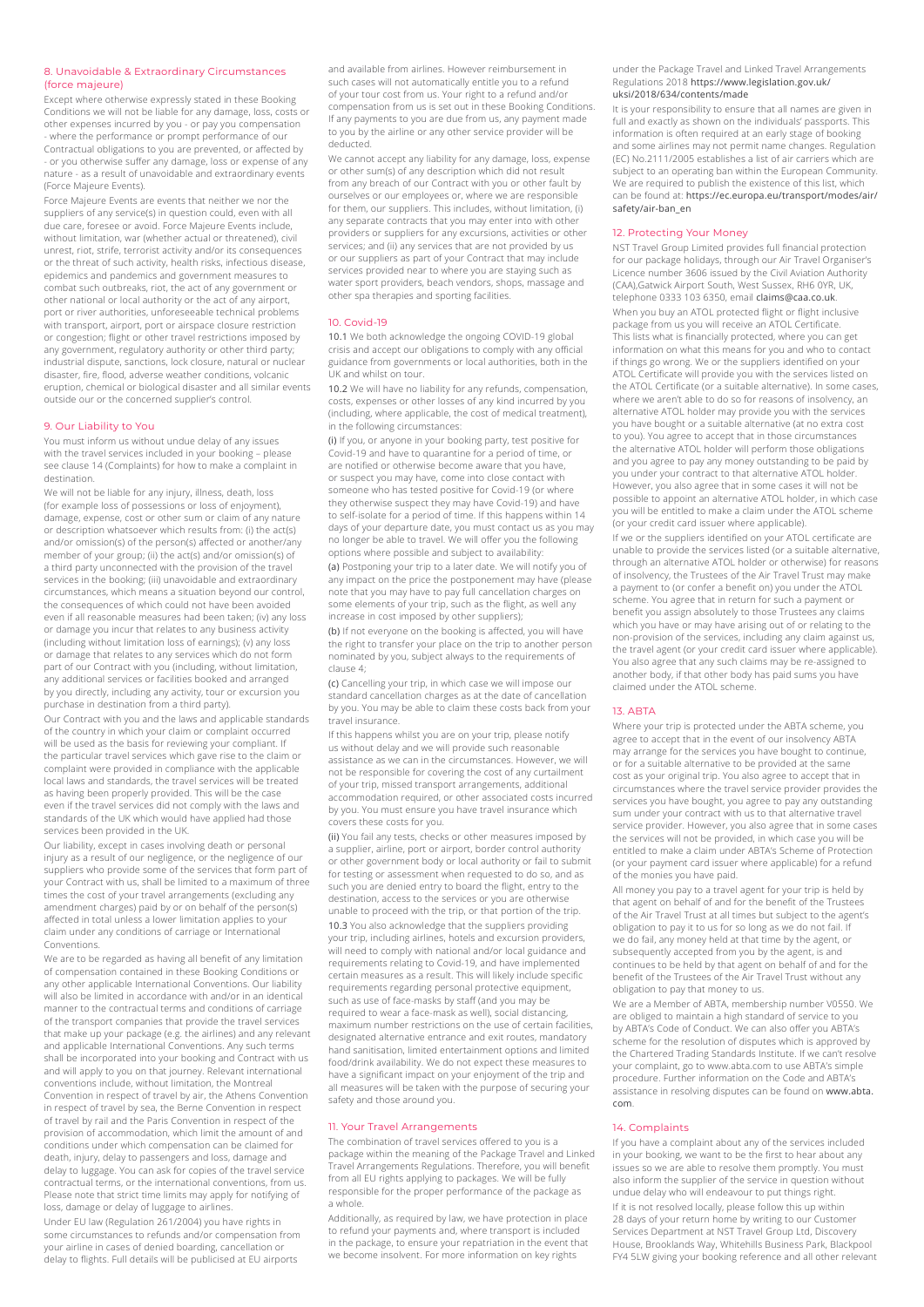#### 8. Unavoidable & Extraordinary Circumstances (force majeure)

Except where otherwise expressly stated in these Booking Conditions we will not be liable for any damage, loss, costs or other expenses incurred by you - or pay you compensation - where the performance or prompt performance of our Contractual obligations to you are prevented, or affected by - or you otherwise suffer any damage, loss or expense of any nature - as a result of unavoidable and extraordinary events (Force Majeure Events).

Force Majeure Events are events that neither we nor the suppliers of any service(s) in question could, even with all due care, foresee or avoid. Force Majeure Events include, without limitation, war (whether actual or threatened), civil unrest, riot, strife, terrorist activity and/or its consequences or the threat of such activity, health risks, infectious disease, epidemics and pandemics and government measures to combat such outbreaks, riot, the act of any government or other national or local authority or the act of any airport, port or river authorities, unforeseeable technical problems with transport, airport, port or airspace closure restriction or congestion; flight or other travel restrictions imposed by any government, regulatory authority or other third party; industrial dispute, sanctions, lock closure, natural or nuclear disaster, fire, flood, adverse weather conditions, volcanic eruption, chemical or biological disaster and all similar events outside our or the concerned supplier's control.

#### 9. Our Liability to You

You must inform us without undue delay of any issues with the travel services included in your booking – please see clause 14 (Complaints) for how to make a complaint in destination.

We will not be liable for any injury, illness, death, loss (for example loss of possessions or loss of enjoyment), damage, expense, cost or other sum or claim of any nature or description whatsoever which results from: (i) the act(s) and/or omission(s) of the person(s) affected or another/any member of your group; (ii) the act(s) and/or omission(s) of a third party unconnected with the provision of the travel services in the booking; (iii) unavoidable and extraordinary circumstances, which means a situation beyond our control, the consequences of which could not have been avoided even if all reasonable measures had been taken; (iv) any loss or damage you incur that relates to any business activity (including without limitation loss of earnings); (v) any loss or damage that relates to any services which do not form part of our Contract with you (including, without limitation, any additional services or facilities booked and arranged by you directly, including any activity, tour or excursion you purchase in destination from a third party).

Our Contract with you and the laws and applicable standards of the country in which your claim or complaint occurred will be used as the basis for reviewing your compliant. If the particular travel services which gave rise to the claim or complaint were provided in compliance with the applicable local laws and standards, the travel services will be treated as having been properly provided. This will be the case even if the travel services did not comply with the laws and standards of the UK which would have applied had those services been provided in the UK.

Our liability, except in cases involving death or personal injury as a result of our negligence, or the negligence of our suppliers who provide some of the services that form part of your Contract with us, shall be limited to a maximum of three times the cost of your travel arrangements (excluding any amendment charges) paid by or on behalf of the person(s) affected in total unless a lower limitation applies to your claim under any conditions of carriage or International Conventions.

We are to be regarded as having all benefit of any limitation of compensation contained in these Booking Conditions or any other applicable International Conventions. Our liability will also be limited in accordance with and/or in an identical manner to the contractual terms and conditions of carriage of the transport companies that provide the travel services that make up your package (e.g. the airlines) and any relevant and applicable International Conventions. Any such terms shall be incorporated into your booking and Contract with us and will apply to you on that journey. Relevant international conventions include, without limitation, the Montreal Convention in respect of travel by air, the Athens Convention in respect of travel by sea, the Berne Convention in respect of travel by rail and the Paris Convention in respect of the provision of accommodation, which limit the amount of and conditions under which compensation can be claimed for death, injury, delay to passengers and loss, damage and delay to luggage. You can ask for copies of the travel service contractual terms, or the international conventions, from us. Please note that strict time limits may apply for notifying of loss, damage or delay of luggage to airlines. Under EU law (Regulation 261/2004) you have rights in some circumstances to refunds and/or compensation from your airline in cases of denied boarding, cancellation or delay to flights. Full details will be publicised at EU airports

and available from airlines. However reimbursement in such cases will not automatically entitle you to a refund of your tour cost from us. Your right to a refund and/or compensation from us is set out in these Booking Conditions. If any payments to you are due from us, any payment made to you by the airline or any other service provider will be deducted.

We cannot accept any liability for any damage, loss, expense or other sum(s) of any description which did not result from any breach of our Contract with you or other fault by ourselves or our employees or, where we are responsible for them, our suppliers. This includes, without limitation, (i) any separate contracts that you may enter into with other providers or suppliers for any excursions, activities or other services; and (ii) any services that are not provided by us or our suppliers as part of your Contract that may include services provided near to where you are staying such as water sport providers, beach vendors, shops, massage and other spa therapies and sporting facilities.

## 10. Covid-19

10.1 We both acknowledge the ongoing COVID-19 global crisis and accept our obligations to comply with any official guidance from governments or local authorities, both in the UK and whilst on tour.

10.2 We will have no liability for any refunds, compensation, costs, expenses or other losses of any kind incurred by you (including, where applicable, the cost of medical treatment), in the following circumstances:

(i) If you, or anyone in your booking party, test positive for Covid-19 and have to quarantine for a period of time, or are notified or otherwise become aware that you have, or suspect you may have, come into close contact with someone who has tested positive for Covid-19 (or where they otherwise suspect they may have Covid-19) and have to self-isolate for a period of time. If this happens within 14 days of your departure date, you must contact us as you may no longer be able to travel. We will offer you the following options where possible and subject to availability: (a) Postponing your trip to a later date. We will notify you of any impact on the price the postponement may have (please note that you may have to pay full cancellation charges on some elements of your trip, such as the flight, as well any increase in cost imposed by other suppliers);

(b) If not everyone on the booking is affected, you will have the right to transfer your place on the trip to another person nominated by you, subject always to the requirements of clause 4;

(c) Cancelling your trip, in which case we will impose our standard cancellation charges as at the date of cancellation by you. You may be able to claim these costs back from your travel insurance.

If this happens whilst you are on your trip, please notify us without delay and we will provide such reasonable assistance as we can in the circumstances. However, we will not be responsible for covering the cost of any curtailment of your trip, missed transport arrangements, additional accommodation required, or other associated costs incurred by you. You must ensure you have travel insurance which covers these costs for you.

(ii) You fail any tests, checks or other measures imposed by a supplier, airline, port or airport, border control authority or other government body or local authority or fail to submit for testing or assessment when requested to do so, and as such you are denied entry to board the flight, entry to the destination, access to the services or you are otherwise unable to proceed with the trip, or that portion of the trip. 10.3 You also acknowledge that the suppliers providing your trip, including airlines, hotels and excursion providers, will need to comply with national and/or local guidance and requirements relating to Covid-19, and have implemented

certain measures as a result. This will likely include specific requirements regarding personal protective equipment, such as use of face-masks by staff (and you may be required to wear a face-mask as well), social distancing, maximum number restrictions on the use of certain facilities, designated alternative entrance and exit routes, mandatory hand sanitisation, limited entertainment options and limited food/drink availability. We do not expect these measures to have a significant impact on your enjoyment of the trip and all measures will be taken with the purpose of securing your safety and those around you.

### 11. Your Travel Arrangements

The combination of travel services offered to you is a package within the meaning of the Package Travel and Linked Travel Arrangements Regulations. Therefore, you will benefit from all EU rights applying to packages. We will be fully responsible for the proper performance of the package as a whole.

Additionally, as required by law, we have protection in place to refund your payments and, where transport is included in the package, to ensure your repatriation in the event that we become insolvent. For more information on key rights

under the Package Travel and Linked Travel Arrangements Regulations 2018 https://www.legislation.gov.uk/ uksi/2018/634/contents/made

It is your responsibility to ensure that all names are given in full and exactly as shown on the individuals' passports. This information is often required at an early stage of booking and some airlines may not permit name changes. Regulation (EC) No.2111/2005 establishes a list of air carriers which are subject to an operating ban within the European Community. We are required to publish the existence of this list, which can be found at: https://ec.europa.eu/transport/modes/air/ safety/air-ban\_en

### 12. Protecting Your Money

NST Travel Group Limited provides full financial protection for our package holidays, through our Air Travel Organiser's Licence number 3606 issued by the Civil Aviation Authority (CAA),Gatwick Airport South, West Sussex, RH6 0YR, UK, telephone 0333 103 6350, email claims@caa.co.uk. When you buy an ATOL protected flight or flight inclusive package from us you will receive an ATOL Certificate. This lists what is financially protected, where you can get information on what this means for you and who to contact if things go wrong. We or the suppliers identified on your ATOL Certificate will provide you with the services listed on the ATOL Certificate (or a suitable alternative). In some cases, where we aren't able to do so for reasons of insolvency, an alternative ATOL holder may provide you with the services you have bought or a suitable alternative (at no extra cost to you). You agree to accept that in those circumstances the alternative ATOL holder will perform those obligations and you agree to pay any money outstanding to be paid by you under your contract to that alternative ATOL holder. However, you also agree that in some cases it will not be possible to appoint an alternative ATOL holder, in which case you will be entitled to make a claim under the ATOL scheme (or your credit card issuer where applicable).

If we or the suppliers identified on your ATOL certificate are unable to provide the services listed (or a suitable alternative, through an alternative ATOL holder or otherwise) for reasons of insolvency, the Trustees of the Air Travel Trust may make a payment to (or confer a benefit on) you under the ATOL scheme. You agree that in return for such a payment or benefit you assign absolutely to those Trustees any claims which you have or may have arising out of or relating to the non-provision of the services, including any claim against us, the travel agent (or your credit card issuer where applicable). You also agree that any such claims may be re-assigned to another body, if that other body has paid sums you have claimed under the ATOL scheme.

#### 13. ABTA

Where your trip is protected under the ABTA scheme, you agree to accept that in the event of our insolvency ABTA may arrange for the services you have bought to continue, or for a suitable alternative to be provided at the same cost as your original trip. You also agree to accept that in circumstances where the travel service provider provides the services you have bought, you agree to pay any outstanding sum under your contract with us to that alternative travel service provider. However, you also agree that in some cases the services will not be provided, in which case you will be entitled to make a claim under ABTA's Scheme of Protection (or your payment card issuer where applicable) for a refund of the monies you have paid.

All money you pay to a travel agent for your trip is held by that agent on behalf of and for the benefit of the Trustees of the Air Travel Trust at all times but subject to the agent's obligation to pay it to us for so long as we do not fail. If we do fail, any money held at that time by the agent, or subsequently accepted from you by the agent, is and continues to be held by that agent on behalf of and for the benefit of the Trustees of the Air Travel Trust without any obligation to pay that money to us.

We are a Member of ABTA, membership number V0550. We are obliged to maintain a high standard of service to you by ABTA's Code of Conduct. We can also offer you ABTA's scheme for the resolution of disputes which is approved by the Chartered Trading Standards Institute. If we can't resolve your complaint, go to www.abta.com to use ABTA's simple procedure. Further information on the Code and ABTA's assistance in resolving disputes can be found on www.abta. com.

### 14. Complaints

If you have a complaint about any of the services included in your booking, we want to be the first to hear about any issues so we are able to resolve them promptly. You must also inform the supplier of the service in question without undue delay who will endeavour to put things right. If it is not resolved locally, please follow this up within 28 days of your return home by writing to our Customer Services Department at NST Travel Group Ltd, Discovery House, Brooklands Way, Whitehills Business Park, Blackpool FY4 5LW giving your booking reference and all other relevant